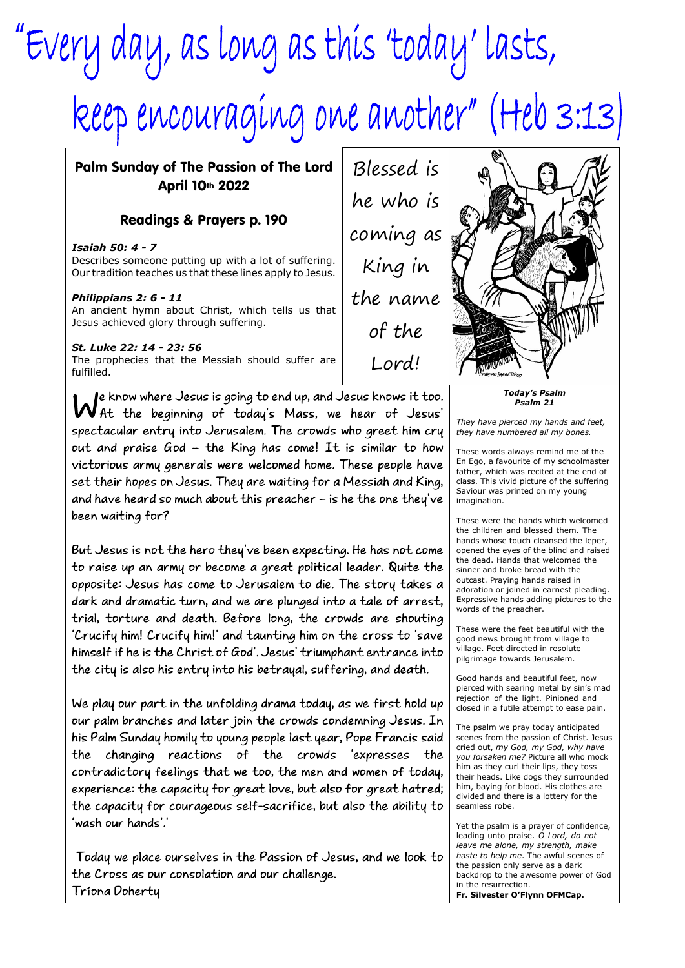## "Every day, as long as this 'today' lasts, keep encouraging one another" (Heb 3:13)

Palm Sunday of The Passion of The Lord April 10th 2022

## Readings & Prayers p. 190

*Isaiah 50: 4 - 7* Describes someone putting up with a lot of suffering. Our tradition teaches us that these lines apply to Jesus.

## *Philippians 2: 6 - 11*

An ancient hymn about Christ, which tells us that Jesus achieved glory through suffering.

## *St. Luke 22: 14 - 23: 56*

The prophecies that the Messiah should suffer are fulfilled.

We know where Jesus is going to end up, and Jesus knows it too.<br>Wat the beginning of today's Mass, we hear of Jesus' spectacular entry into Jerusalem. The crowds who greet him cry out and praise God - the King has come! It is similar to how victorious army generals were welcomed home. These people have set their hopes on Jesus. They are waiting for a Messiah and King, and have heard so much about this preacher - is he the one they've been waiting for?

But Jesus is not the hero they've been expecting. He has not come to raise up an army or become a great political leader. Quite the opposite: Jesus has come to Jerusalem to die. The story takes a dark and dramatic turn, and we are plunged into a tale of arrest, trial, torture and death. Before long, the crowds are shouting 'Crucify him! Crucify him!' and taunting him on the cross to 'save himself if he is the Christ of God'. Jesus' triumphant entrance into the city is also his entry into his betrayal, suffering, and death.

We play our part in the unfolding drama today, as we first hold up our palm branches and later join the crowds condemning Jesus. In his Palm Sunday homily to young people last year, Pope Francis said the changing reactions of the crowds 'expresses the contradictory feelings that we too, the men and women of today, experience: the capacity for great love, but also for great hatred; the capacity for courageous self-sacrifice, but also the ability to 'wash our hands'.'

Today we place ourselves in the Passion of Jesus, and we look to the Cross as our consolation and our challenge. Tríona Doherty

Blessed is he who is coming as King in the name of the Lord!



*Today's Psalm Psalm 21*

*They have pierced my hands and feet, they have numbered all my bones.*

These words always remind me of the En Ego, a favourite of my schoolmaster father, which was recited at the end of class. This vivid picture of the suffering Saviour was printed on my young imagination.

These were the hands which welcomed the children and blessed them. The hands whose touch cleansed the leper. opened the eyes of the blind and raised the dead. Hands that welcomed the sinner and broke bread with the outcast. Praying hands raised in adoration or joined in earnest pleading. Expressive hands adding pictures to the words of the preacher.

These were the feet beautiful with the good news brought from village to village. Feet directed in resolute pilgrimage towards Jerusalem.

Good hands and beautiful feet, now pierced with searing metal by sin's mad rejection of the light. Pinioned and closed in a futile attempt to ease pain.

The psalm we pray today anticipated scenes from the passion of Christ. Jesus cried out, *my God, my God, why have you forsaken me?* Picture all who mock him as they curl their lips, they toss their heads. Like dogs they surrounded him, baying for blood. His clothes are divided and there is a lottery for the seamless robe.

Yet the psalm is a prayer of confidence, leading unto praise. *O Lord, do not leave me alone, my strength, make haste to help me*. The awful scenes of the passion only serve as a dark backdrop to the awesome power of God in the resurrection. **Fr. Silvester O'Flynn OFMCap.**